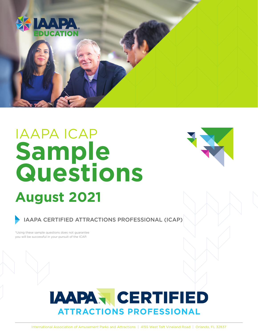

# **August 2021** IAAPA ICAP **Sample Questions**



IAAPA CERTIFIED ATTRACTIONS PROFESSIONAL (ICAP)

\*Using these sample questions does not guarantee you will be successful in your pursuit of the ICAP.

## **IAAPA CERTIFIED ATTRACTIONS PROFESSIONAL**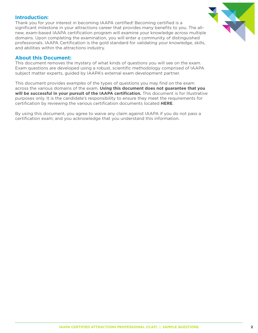#### **Introduction:**

Thank you for your interest in becoming IAAPA certified! Becoming certified is a significant milestone in your attractions career that provides many benefits to you. The allnew, exam-based IAAPA certification program will examine your knowledge across multiple domains. Upon completing the examination, you will enter a community of distinguished professionals. IAAPA Certification is the gold standard for validating your knowledge, skills, and abilities within the attractions industry.

#### **About this Document:**

This document removes the mystery of what kinds of questions you will see on the exam. Exam questions are developed using a robust, scientific methodology comprised of IAAPA subject matter experts, guided by IAAPA's external exam development partner.

This document provides *examples* of the types of questions you may find on the exam across the various domains of the exam. **Using this document does not guarantee that you will be successful in your pursuit of the IAAPA certification.** This document is for illustrative purposes only. It is the candidate's responsibility to ensure they meet the requirements for certification by reviewing the various certification documents located **[HERE](https://www.iaapa.org/education/iaapa-certification)**.

By using this document, you agree to waive any claim against IAAPA if you do not pass a certification exam; and you acknowledge that you understand this information.

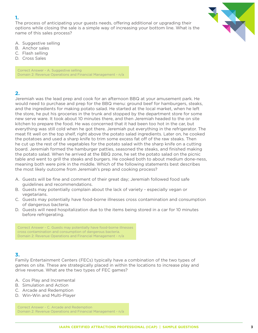The process of anticipating your guests needs, offering additional or upgrading their options while closing the sale is a simple way of increasing your bottom line. What is the name of this sales process?



- A. Suggestive selling
- B. Anchor sales
- C. Flash selling
- D. Cross Sales

Correct Answer - A. Suggestive selling Domain 2: Revenue Operations and Financial Management - n/a

#### **2.**

Jeremiah was the lead prep and cook for an afternoon BBQ at your amusement park. He would need to purchase and prep for the BBQ menu: ground beef for hamburgers, steaks, and the ingredients for making potato salad. He started at the local market, when he left the store, he put his groceries in the trunk and stopped by the department store for some new serve ware. It took about 10 minutes there, and then Jeremiah headed to the on site kitchen to prepare the food. He was concerned that it had been too hot in the car, but everything was still cold when he got there. Jeremiah put everything in the refrigerator. The meat fit well on the top shelf, right above the potato salad ingredients. Later on, he cooked the potatoes and used a sharp knife to trim some excess fat off of the raw steaks. Then he cut up the rest of the vegetables for the potato salad with the sharp knife on a cutting board. Jeremiah formed the hamburger patties, seasoned the steaks, and finished making the potato salad. When he arrived at the BBQ zone, he set the potato salad on the picnic table and went to grill the steaks and burgers. He cooked both to about medium done-ness, meaning both were pink in the middle. Which of the following statements best describes the most likely outcome from Jeremiah's prep and cooking process?

- A. Guests will be fine and comment of their great day; Jeremiah followed food safe guidelines and recommendations.
- B. Guests may potentially complain about the lack of variety especially vegan or vegetarians.
- C. Guests may potentially have food-borne illnesses cross contamination and consumption of dangerous bacteria.
- D. Guests will need hospitalization due to the items being stored in a car for 10 minutes before refrigerating.

Correct Answer - C. Guests may potentially have food-borne illnesses cross contamination and consumption of dangerous bacteria. Domain 2: Revenue Operations and Financial Management - n/a

#### **3.**

Family Entertainment Centers (FECs) typically have a combination of the two types of games on site. These are strategically placed in within the locations to increase play and drive revenue. What are the two types of FEC games?

- A. Cos Play and Incremental
- B. Simulation and Action
- C. Arcade and Redemption
- D. Win-Win and Multi-Player

Correct Answer - C. Arcade and Redemption Domain 2: Revenue Operations and Financial Management - n/a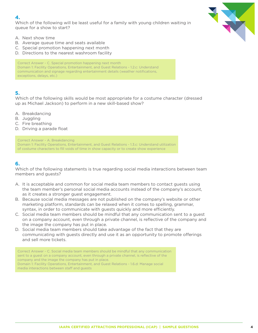Which of the following will be least useful for a family with young children waiting in queue for a show to start?



- A. Next show time
- B. Average queue time and seats available
- C. Special promotion happening next month
- D. Directions to the nearest washroom facility

Correct Answer - C. Special promotion happening next month Domain 1: Facility Operations, Entertainment, and Guest Relations - 1.2.c: Understand communication and signage regarding entertainment details (weather notifications, exceptions, delays, etc.)

#### **5.**

Which of the following skills would be most appropriate for a costume character (dressed up as Michael Jackson) to perform in a new skill-based show?

- A. Breakdancing
- B. Juggling
- C. Fire breathing
- D. Driving a parade float

Correct Answer - A. Breakdancing

Domain 1: Facility Operations, Entertainment, and Guest Relations - 1.3.c: Understand utilization of costume characters to fill voids of time in show capacity or to create show experience

#### **6.**

Which of the following statements is true regarding social media interactions between team members and guests?

- A. It is acceptable and common for social media team members to contact guests using the team member's personal social media accounts instead of the company's account, as it creates a stronger guest engagement.
- B. Because social media messages are not published on the company's website or other marketing platform, standards can be relaxed when it comes to spelling, grammar, syntax, in order to communicate with guests quickly and more efficiently.
- C. Social media team members should be mindful that any communication sent to a guest on a company account, even through a private channel, is reflective of the company and the image the company has put in place.
- D. Social media team members should take advantage of the fact that they are communicating with guests directly and use it as an opportunity to promote offerings and sell more tickets.

Correct Answer - C. Social media team members should be mindful that any communication sent to a guest on a company account, even through a private channel, is reflective of the company and the image the company has put in place. Domain 1: Facility Operations, Entertainment, and Guest Relations - 1.6.d: Manage social media interactions between staff and guests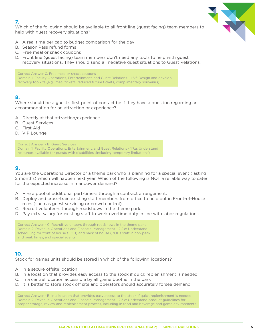Which of the following should be available to all front line (guest facing) team members to help with guest recovery situations?

- A. A real time per cap to budget comparison for the day
- B. Season Pass refund forms
- C. Free meal or snack coupons
- D. Front line (guest facing) team members don't need any tools to help with guest recovery situations. They should send all negative guest situations to Guest Relations.

Correct Answer C. Free meal or snack coupons Domain 1: Facility Operations, Entertainment, and Guest Relations - 1.6.f: Design and develop recovery toolkits (e.g., meal tickets, reduced future tickets, complimentary souvenirs)

#### **8.**

Where should be a guest's first point of contact be if they have a question regarding an accommodation for an attraction or experience?

- A. Directly at that attraction/experience.
- B. Guest Services
- C. First Aid
- D. VIP Lounge

Correct Answer - B. Guest Services Domain 1: Facility Operations, Entertainment, and Guest Relations - 1.7.a: Understand resources available for guests with disabilities (including temporary limitations)

#### **9.**

You are the Operations Director of a theme park who is planning for a special event (lasting 2 months) which will happen next year. Which of the following is NOT a reliable way to cater for the expected increase in manpower demand?

- A. Hire a pool of additional part-timers through a contract arrangement.
- B. Deploy and cross-train existing staff members from office to help out in Front-of-House roles (such as guest servicing or crowd control).
- C. Recruit volunteers through roadshows in the theme park.
- D. Pay extra salary for existing staff to work overtime duty in line with labor regulations.

Correct Answer - C. Recruit volunteers through roadshows in the theme park. Domain 2: Revenue Operations and Financial Management - 2.2.e: Understand scheduling for front of house (FOH) and back of house (BOH) staff in non-peak and peak times, and special events

#### **10.**

Stock for games units should be stored in which of the following locations?

- A. In a secure offsite location
- B. In a location that provides easy access to the stock if quick replenishment is needed
- C. In a central location accessible by all game booths in the park
- D. It is better to store stock off site and operators should accurately forsee demand

Correct Answer - B. In a location that provides easy access to the stock if quick replenishment is needed Domain 2: Revenue Operations and Financial Management - 2.3.c: Understand product guidelines for proper storage, review and replenishment process, including in food and beverage and game environments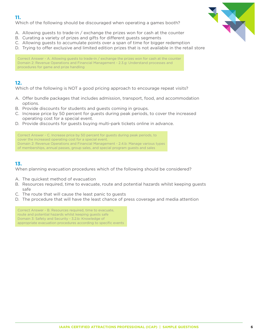Which of the following should be discouraged when operating a games booth?

- A. Allowing guests to trade-in / exchange the prizes won for cash at the counter
- B. Curating a variety of prizes and gifts for different guests segments
- C. Allowing guests to accumulate points over a span of time for bigger redemption
- D. Trying to offer exclusive and limited edition prizes that is not available in the retail store

Correct Answer - A. Allowing guests to trade-in / exchange the prizes won for cash at the counter Domain 2: Revenue Operations and Financial Management - 2.3.g: Understand processes and procedures for game and prize handling

#### **12.**

Which of the following is NOT a good pricing approach to encourage repeat visits?

- A. Offer bundle packages that includes admission, transport, food, and accommodation options.
- B. Provide discounts for students and guests coming in groups.
- C. Increase price by 50 percent for guests during peak periods, to cover the increased operating cost for a special event.
- D. Provide discounts for guests buying multi-park tickets online in advance.

Correct Answer - C. Increase price by 50 percent for guests during peak periods, to cover the increased operating cost for a special event. Domain 2: Revenue Operations and Financial Management - 2.4.b: Manage various types of memberships, annual passes, group sales, and special program guests and sales

#### **13.**

When planning evacuation procedures which of the following should be considered?

- A. The quickest method of evacuation
- B. Resources required, time to evacuate, route and potential hazards whilst keeping guests safe
- C. The route that will cause the least panic to guests
- D. The procedure that will have the least chance of press coverage and media attention

Correct Answer - B. Resources required, time to evacuate, route and potential hazards whilst keeping guests safe Domain 3: Safety and Security - 3.2.b: Knowledge of appropriate evacuation procedures according to specific events

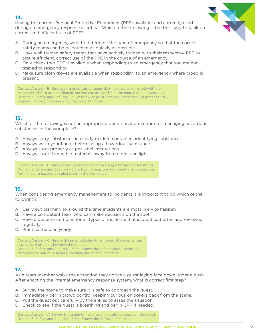Having the correct Personal Protective Equipment (PPE) available and correctly used during an emergency response is critical. Which of the following is the best way to facilitate correct and efficient use of PPE?

- A. During an emergency, work to determine the type of emergency so that the correct safety teams can be dispatched as quickly as possible.
- B. Have well-trained safety teams that have actively trained with their respective PPE to assure efficient, correct use of the PPE in the course of an emergency.
- C. Only check that PPE is available when responding to an emergency that you are not trained to respond to.
- D. Make sure cloth gloves are available when responding to an emergency where blood is present.

Correct Answer - B. Have well-trained safety teams that have actively trained with their respective PPE to assure efficient, correct use of the PPE in the course of an emergency. Domain 3: Safety and Security - 3.2.c: Knowledge of Personal Protective Equipment (PPE) required for varying emergency response situations

#### **15.**

Which of the following is not an appropriate operational procedure for managing hazardous substances in the workplace?

- A. Always carry substances in clearly marked containers identifying substance.
- B. Always wash your hands before using a hazardous substance.
- C. Always store properly as per label instructions.
- D. Always store flammable materials away from direct sun light.

Correct Answer - B. Always wash your hands before using a hazardous substance. Domain 3: Safety and Security - 3.3.a: Identify appropriate operational procedures for managing hazardous substances in the workplace

#### **16.**

When considering emergency management to incidents it is important to do which of the following?

- A. Carry out planning to around the time incidents are most likely to happen
- B. Have a competent team who can make decisions on the spot
- C. Have a documented plan for all types of incidents that is practiced often and reviewed regularly
- D. Practice the plan yearly

Correct Answer - C. Have a documented plan for all types of incidents that is practiced often and reviewed regularly Domain 3: Safety and Security - 3.3.b: Knowledge of standard operational responses to natural disasters, weather, and critical incidents

#### **17.**

As a team member walks the attraction they notice a guest laying face down under a bush. After enacting the internal emergency response system, what is correct first step?

- A. Survey the scene to make sure it is safe to approach the guest.
- B. Immediately begin crowd control keeping curious onlookers back from the scene.
- C. Pull the guest out carefully by the ankles to asses the situation.
- D. Check to see if the guest is breathing and begin CPR if needed.

Correct Answer - A. Survey the scene to make sure it is safe to approach the guest. Domain 3: Safety and Security - 3.3.d: Knowledge of basic First Aid

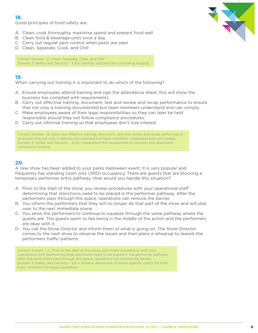Good principles of food safety are:

- A. Clean, cook thoroughly, maximise spend and present food well
- B. Clean food & beverage units once a day
- C. Carry out regular pest control when pests are seen
- D. Clean, Separate, Cook, and Chill

Correct Answer - D. Clean, Separate, Cook, and Chill Domain 3: Safety and Security - 3.4.b: Identify solutions for controlling hazards

#### **19.**

When carrying out training it is important to do which of the following?

- A. Ensure employees attend training and sign the attendance sheet; this will show the business has complied with requirements.
- B. Carry out effective training, document, test and review and recap performance to ensure that not only is training documented but team members understand and can comply.
- C. Make employees aware of their legal responsibilities so they can later be held responsible should they not follow compliance procedures.
- D. Carry out informal training so that employees don't lose interest.

Correct Answer - B. Carry out effective training, document, test and review and recap performance to ensure that not only is training documented but team members understand and can comply. Domain 3: Safety and Security - 3.5.b: Understand the requirement to conduct and document compliance training

#### **20.**

A new show has been added to your parks Halloween event. It is very popular and frequently has standing room only (SRO) occupancy. There are guests that are blocking a temporary performer entry pathway. How would you handle this situation?

- A. Prior to the start of the show, you review procedures with your operational staff determining that stanchions need to be placed in the performer pathway. After the performers pass through this space, operations can remove the barrier.
- B. You inform the performers that they will no longer do that part of the show and will skip over to the next immediate scene.
- C. You allow the performers to continue to squeeze through the same pathway where the guests are. The guests seem to like being in the middle of the action and the performers are okay with it.
- D. You call the Show Director and inform them of what is going on. The Show Director comes to the next show to observe the issues and then plans a rehearsal to rework the performers traffic patterns.

Correct Answer - A. Prior to the start of the show, you review procedures with your operational staff determining that stanchions need to be placed in the performer pathway. After the performers pass through this space, operations can remove the barrier. Domain 3: Safety and Security - 3.6.a: General awareness of venue-specific safety for both front- and back-of-house operations

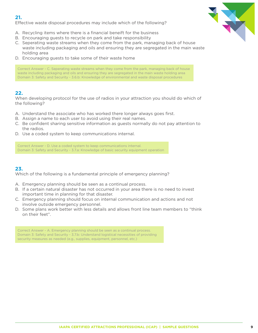Effective waste disposal procedures may include which of the following?



- A. Recycling items where there is a financial beneift for the business
- B. Encouraging guests to recycle on park and take responsibility
- C. Seperating waste streams when they come from the park, managing back of house waste including packaging and oils and ensuring they are segregated in the main waste holding area
- D. Encouraging guests to take some of their waste home

Correct Answer - C. Seperating waste streams when they come from the park, managing back of house waste including packaging and oils and ensuring they are segregated in the main waste holding area Domain 3: Safety and Security - 3.6.b: Knowledge of environmental and waste disposal procedures

#### **22.**

When developing protocol for the use of radios in your attraction you should do which of the following?

- A. Understand the associate who has worked there longer always goes first.
- B. Assign a name to each user to avoid using their real names.
- C. Be confident sharing sensitive information as guests normally do not pay attention to the radios.
- D. Use a coded system to keep communications internal.

Correct Answer - D. Use a coded system to keep communications internal. Domain 3: Safety and Security - 3.7.a: Knowledge of basic security equipment operation

### **23.**

Which of the following is a fundamental principle of emergency planning?

- A. Emergency planning should be seen as a continual process.
- B. If a certain natural disaster has not occurred in your area there is no need to invest important time in planning for that disaster.
- C. Emergency planning should focus on internal communication and actions and not involve outside emergency personnel.
- D. Some plans work better with less details and allows front line team members to "think on their feet".

Correct Answer - A. Emergency planning should be seen as a continual process. Domain 3: Safety and Security - 3.7.b: Understand logistical necessities of providing security measures as needed (e.g., supplies, equipment, personnel, etc.)